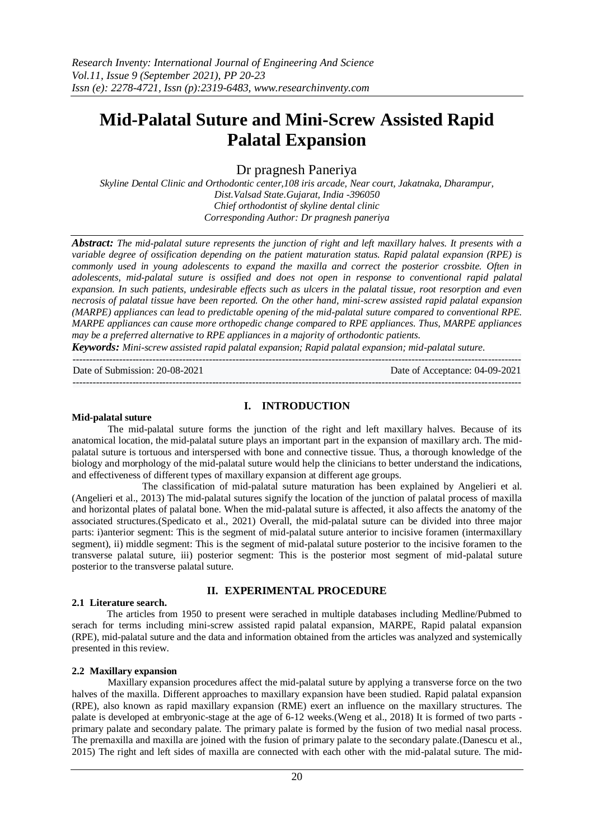# **Mid-Palatal Suture and Mini-Screw Assisted Rapid Palatal Expansion**

Dr pragnesh Paneriya

*Skyline Dental Clinic and Orthodontic center,108 iris arcade, Near court, Jakatnaka, Dharampur, Dist.Valsad State.Gujarat, India -396050 Chief orthodontist of skyline dental clinic Corresponding Author: Dr pragnesh paneriya*

*Abstract: The mid-palatal suture represents the junction of right and left maxillary halves. It presents with a variable degree of ossification depending on the patient maturation status. Rapid palatal expansion (RPE) is commonly used in young adolescents to expand the maxilla and correct the posterior crossbite. Often in adolescents, mid-palatal suture is ossified and does not open in response to conventional rapid palatal expansion. In such patients, undesirable effects such as ulcers in the palatal tissue, root resorption and even necrosis of palatal tissue have been reported. On the other hand, mini-screw assisted rapid palatal expansion (MARPE) appliances can lead to predictable opening of the mid-palatal suture compared to conventional RPE. MARPE appliances can cause more orthopedic change compared to RPE appliances. Thus, MARPE appliances may be a preferred alternative to RPE appliances in a majority of orthodontic patients.*

*Keywords: Mini-screw assisted rapid palatal expansion; Rapid palatal expansion; mid-palatal suture.*

Date of Submission: 20-08-2021 Date of Acceptance: 04-09-2021

---------------------------------------------------------------------------------------------------------------------------------------

#### **Mid-palatal suture**

#### **I. INTRODUCTION**

---------------------------------------------------------------------------------------------------------------------------------------

The mid-palatal suture forms the junction of the right and left maxillary halves. Because of its anatomical location, the mid-palatal suture plays an important part in the expansion of maxillary arch. The midpalatal suture is tortuous and interspersed with bone and connective tissue. Thus, a thorough knowledge of the biology and morphology of the mid-palatal suture would help the clinicians to better understand the indications, and effectiveness of different types of maxillary expansion at different age groups.

The classification of mid-palatal suture maturation has been explained by Angelieri et al. (Angelieri et al., 2013) The mid-palatal sutures signify the location of the junction of palatal process of maxilla and horizontal plates of palatal bone. When the mid-palatal suture is affected, it also affects the anatomy of the associated structures.(Spedicato et al., 2021) Overall, the mid-palatal suture can be divided into three major parts: i)anterior segment: This is the segment of mid-palatal suture anterior to incisive foramen (intermaxillary segment), ii) middle segment: This is the segment of mid-palatal suture posterior to the incisive foramen to the transverse palatal suture, iii) posterior segment: This is the posterior most segment of mid-palatal suture posterior to the transverse palatal suture.

## **II. EXPERIMENTAL PROCEDURE**

### **2.1 Literature search.**

The articles from 1950 to present were serached in multiple databases including Medline/Pubmed to serach for terms including mini-screw assisted rapid palatal expansion, MARPE, Rapid palatal expansion (RPE), mid-palatal suture and the data and information obtained from the articles was analyzed and systemically presented in this review.

### **2.2 Maxillary expansion**

Maxillary expansion procedures affect the mid-palatal suture by applying a transverse force on the two halves of the maxilla. Different approaches to maxillary expansion have been studied. Rapid palatal expansion (RPE), also known as rapid maxillary expansion (RME) exert an influence on the maxillary structures. The palate is developed at embryonic-stage at the age of 6-12 weeks.(Weng et al., 2018) It is formed of two parts primary palate and secondary palate. The primary palate is formed by the fusion of two medial nasal process. The premaxilla and maxilla are joined with the fusion of primary palate to the secondary palate.(Danescu et al., 2015) The right and left sides of maxilla are connected with each other with the mid-palatal suture. The mid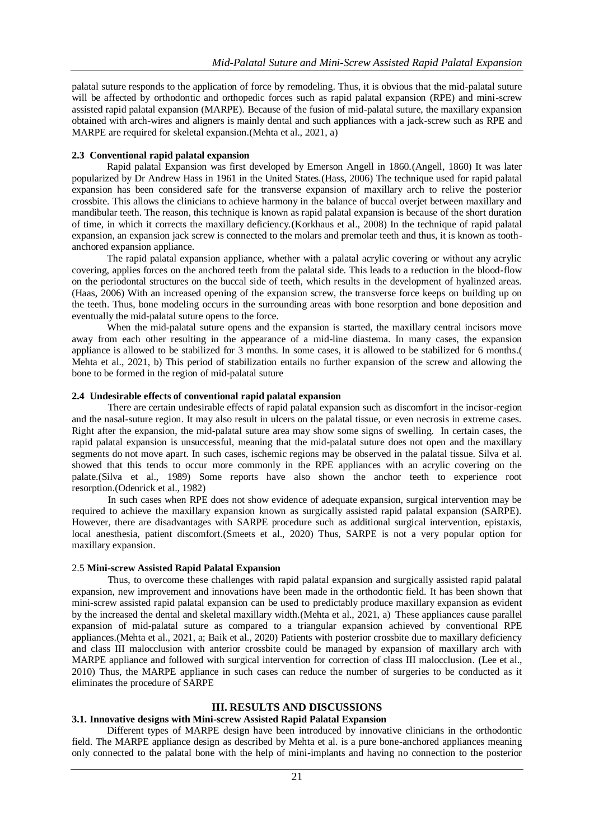palatal suture responds to the application of force by remodeling. Thus, it is obvious that the mid-palatal suture will be affected by orthodontic and orthopedic forces such as rapid palatal expansion (RPE) and mini-screw assisted rapid palatal expansion (MARPE). Because of the fusion of mid-palatal suture, the maxillary expansion obtained with arch-wires and aligners is mainly dental and such appliances with a jack-screw such as RPE and MARPE are required for skeletal expansion.(Mehta et al., 2021, a)

#### **2.3 Conventional rapid palatal expansion**

Rapid palatal Expansion was first developed by Emerson Angell in 1860.(Angell, 1860) It was later popularized by Dr Andrew Hass in 1961 in the United States.(Hass, 2006) The technique used for rapid palatal expansion has been considered safe for the transverse expansion of maxillary arch to relive the posterior crossbite. This allows the clinicians to achieve harmony in the balance of buccal overjet between maxillary and mandibular teeth. The reason, this technique is known as rapid palatal expansion is because of the short duration of time, in which it corrects the maxillary deficiency.(Korkhaus et al., 2008) In the technique of rapid palatal expansion, an expansion jack screw is connected to the molars and premolar teeth and thus, it is known as toothanchored expansion appliance.

The rapid palatal expansion appliance, whether with a palatal acrylic covering or without any acrylic covering, applies forces on the anchored teeth from the palatal side. This leads to a reduction in the blood-flow on the periodontal structures on the buccal side of teeth, which results in the development of hyalinzed areas. (Haas, 2006) With an increased opening of the expansion screw, the transverse force keeps on building up on the teeth. Thus, bone modeling occurs in the surrounding areas with bone resorption and bone deposition and eventually the mid-palatal suture opens to the force.

When the mid-palatal suture opens and the expansion is started, the maxillary central incisors move away from each other resulting in the appearance of a mid-line diastema. In many cases, the expansion appliance is allowed to be stabilized for 3 months. In some cases, it is allowed to be stabilized for 6 months.( Mehta et al., 2021, b) This period of stabilization entails no further expansion of the screw and allowing the bone to be formed in the region of mid-palatal suture

#### **2.4 Undesirable effects of conventional rapid palatal expansion**

There are certain undesirable effects of rapid palatal expansion such as discomfort in the incisor-region and the nasal-suture region. It may also result in ulcers on the palatal tissue, or even necrosis in extreme cases. Right after the expansion, the mid-palatal suture area may show some signs of swelling. In certain cases, the rapid palatal expansion is unsuccessful, meaning that the mid-palatal suture does not open and the maxillary segments do not move apart. In such cases, ischemic regions may be observed in the palatal tissue. Silva et al. showed that this tends to occur more commonly in the RPE appliances with an acrylic covering on the palate.(Silva et al., 1989) Some reports have also shown the anchor teeth to experience root resorption.(Odenrick et al., 1982)

In such cases when RPE does not show evidence of adequate expansion, surgical intervention may be required to achieve the maxillary expansion known as surgically assisted rapid palatal expansion (SARPE). However, there are disadvantages with SARPE procedure such as additional surgical intervention, epistaxis, local anesthesia, patient discomfort.(Smeets et al., 2020) Thus, SARPE is not a very popular option for maxillary expansion.

### 2.5 **Mini-screw Assisted Rapid Palatal Expansion**

Thus, to overcome these challenges with rapid palatal expansion and surgically assisted rapid palatal expansion, new improvement and innovations have been made in the orthodontic field. It has been shown that mini-screw assisted rapid palatal expansion can be used to predictably produce maxillary expansion as evident by the increased the dental and skeletal maxillary width.(Mehta et al., 2021, a) These appliances cause parallel expansion of mid-palatal suture as compared to a triangular expansion achieved by conventional RPE appliances.(Mehta et al., 2021, a; Baik et al., 2020) Patients with posterior crossbite due to maxillary deficiency and class III malocclusion with anterior crossbite could be managed by expansion of maxillary arch with MARPE appliance and followed with surgical intervention for correction of class III malocclusion. (Lee et al., 2010) Thus, the MARPE appliance in such cases can reduce the number of surgeries to be conducted as it eliminates the procedure of SARPE

## **III. RESULTS AND DISCUSSIONS**

### **3.1. Innovative designs with Mini-screw Assisted Rapid Palatal Expansion**

Different types of MARPE design have been introduced by innovative clinicians in the orthodontic field. The MARPE appliance design as described by Mehta et al. is a pure bone-anchored appliances meaning only connected to the palatal bone with the help of mini-implants and having no connection to the posterior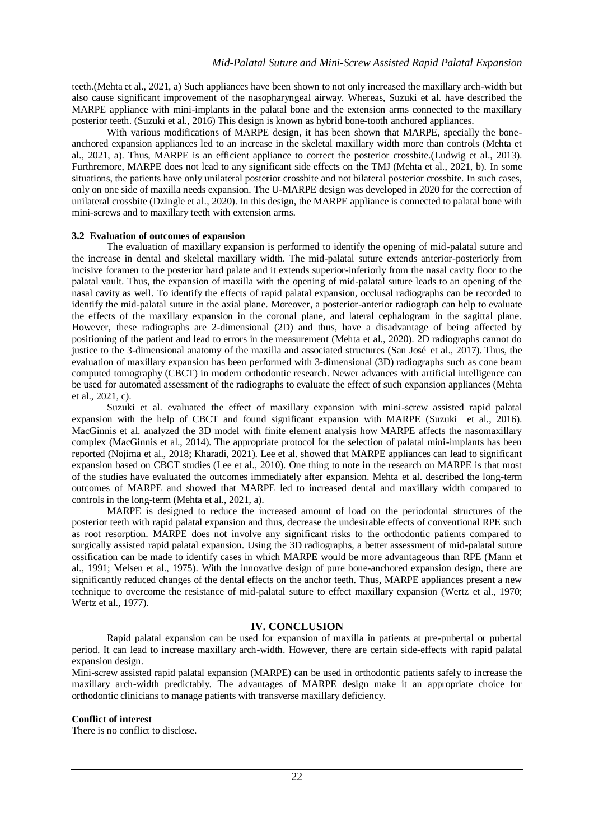teeth.(Mehta et al., 2021, a) Such appliances have been shown to not only increased the maxillary arch-width but also cause significant improvement of the nasopharyngeal airway. Whereas, Suzuki et al. have described the MARPE appliance with mini-implants in the palatal bone and the extension arms connected to the maxillary posterior teeth. (Suzuki et al., 2016) This design is known as hybrid bone-tooth anchored appliances.

With various modifications of MARPE design, it has been shown that MARPE, specially the boneanchored expansion appliances led to an increase in the skeletal maxillary width more than controls (Mehta et al., 2021, a). Thus, MARPE is an efficient appliance to correct the posterior crossbite.(Ludwig et al., 2013). Furthremore, MARPE does not lead to any significant side effects on the TMJ (Mehta et al., 2021, b). In some situations, the patients have only unilateral posterior crossbite and not bilateral posterior crossbite. In such cases, only on one side of maxilla needs expansion. The U-MARPE design was developed in 2020 for the correction of unilateral crossbite (Dzingle et al., 2020). In this design, the MARPE appliance is connected to palatal bone with mini-screws and to maxillary teeth with extension arms.

### **3.2 Evaluation of outcomes of expansion**

The evaluation of maxillary expansion is performed to identify the opening of mid-palatal suture and the increase in dental and skeletal maxillary width. The mid-palatal suture extends anterior-posteriorly from incisive foramen to the posterior hard palate and it extends superior-inferiorly from the nasal cavity floor to the palatal vault. Thus, the expansion of maxilla with the opening of mid-palatal suture leads to an opening of the nasal cavity as well. To identify the effects of rapid palatal expansion, occlusal radiographs can be recorded to identify the mid-palatal suture in the axial plane. Moreover, a posterior-anterior radiograph can help to evaluate the effects of the maxillary expansion in the coronal plane, and lateral cephalogram in the sagittal plane. However, these radiographs are 2-dimensional (2D) and thus, have a disadvantage of being affected by positioning of the patient and lead to errors in the measurement (Mehta et al., 2020). 2D radiographs cannot do justice to the 3-dimensional anatomy of the maxilla and associated structures (San José et al., 2017). Thus, the evaluation of maxillary expansion has been performed with 3-dimensional (3D) radiographs such as cone beam computed tomography (CBCT) in modern orthodontic research. Newer advances with artificial intelligence can be used for automated assessment of the radiographs to evaluate the effect of such expansion appliances (Mehta et al., 2021, c).

Suzuki et al. evaluated the effect of maxillary expansion with mini-screw assisted rapid palatal expansion with the help of CBCT and found significant expansion with MARPE (Suzuki et al., 2016). MacGinnis et al. analyzed the 3D model with finite element analysis how MARPE affects the nasomaxillary complex (MacGinnis et al., 2014). The appropriate protocol for the selection of palatal mini-implants has been reported (Nojima et al., 2018; Kharadi, 2021). Lee et al. showed that MARPE appliances can lead to significant expansion based on CBCT studies (Lee et al., 2010). One thing to note in the research on MARPE is that most of the studies have evaluated the outcomes immediately after expansion. Mehta et al. described the long-term outcomes of MARPE and showed that MARPE led to increased dental and maxillary width compared to controls in the long-term (Mehta et al., 2021, a).

MARPE is designed to reduce the increased amount of load on the periodontal structures of the posterior teeth with rapid palatal expansion and thus, decrease the undesirable effects of conventional RPE such as root resorption. MARPE does not involve any significant risks to the orthodontic patients compared to surgically assisted rapid palatal expansion. Using the 3D radiographs, a better assessment of mid-palatal suture ossification can be made to identify cases in which MARPE would be more advantageous than RPE (Mann et al., 1991; Melsen et al., 1975). With the innovative design of pure bone-anchored expansion design, there are significantly reduced changes of the dental effects on the anchor teeth. Thus, MARPE appliances present a new technique to overcome the resistance of mid-palatal suture to effect maxillary expansion (Wertz et al., 1970; Wertz et al., 1977).

## **IV. CONCLUSION**

Rapid palatal expansion can be used for expansion of maxilla in patients at pre-pubertal or pubertal period. It can lead to increase maxillary arch-width. However, there are certain side-effects with rapid palatal expansion design.

Mini-screw assisted rapid palatal expansion (MARPE) can be used in orthodontic patients safely to increase the maxillary arch-width predictably. The advantages of MARPE design make it an appropriate choice for orthodontic clinicians to manage patients with transverse maxillary deficiency.

#### **Conflict of interest**

There is no conflict to disclose.